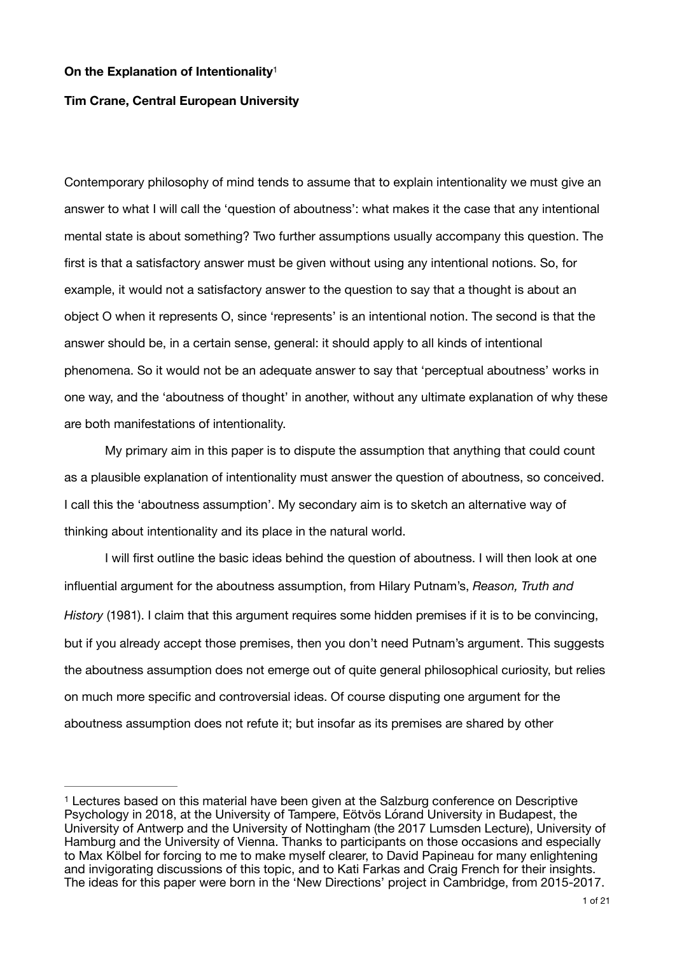### <span id="page-0-1"></span>**On the Explanation of Intentionality**[1](#page-0-0)

## **Tim Crane, Central European University**

Contemporary philosophy of mind tends to assume that to explain intentionality we must give an answer to what I will call the 'question of aboutness': what makes it the case that any intentional mental state is about something? Two further assumptions usually accompany this question. The first is that a satisfactory answer must be given without using any intentional notions. So, for example, it would not a satisfactory answer to the question to say that a thought is about an object O when it represents O, since 'represents' is an intentional notion. The second is that the answer should be, in a certain sense, general: it should apply to all kinds of intentional phenomena. So it would not be an adequate answer to say that 'perceptual aboutness' works in one way, and the 'aboutness of thought' in another, without any ultimate explanation of why these are both manifestations of intentionality.

My primary aim in this paper is to dispute the assumption that anything that could count as a plausible explanation of intentionality must answer the question of aboutness, so conceived. I call this the 'aboutness assumption'. My secondary aim is to sketch an alternative way of thinking about intentionality and its place in the natural world. 

I will first outline the basic ideas behind the question of aboutness. I will then look at one influential argument for the aboutness assumption, from Hilary Putnam's, *Reason, Truth and History* (1981). I claim that this argument requires some hidden premises if it is to be convincing, but if you already accept those premises, then you don't need Putnam's argument. This suggests the aboutness assumption does not emerge out of quite general philosophical curiosity, but relies on much more specific and controversial ideas. Of course disputing one argument for the aboutness assumption does not refute it; but insofar as its premises are shared by other

<span id="page-0-0"></span>Lectures based on this material have been given at the Salzburg conference on Descriptive [1](#page-0-1) Psychology in 2018, at the University of Tampere, Eötvös Lórand University in Budapest, the University of Antwerp and the University of Nottingham (the 2017 Lumsden Lecture), University of Hamburg and the University of Vienna. Thanks to participants on those occasions and especially to Max Kölbel for forcing to me to make myself clearer, to David Papineau for many enlightening and invigorating discussions of this topic, and to Kati Farkas and Craig French for their insights. The ideas for this paper were born in the 'New Directions' project in Cambridge, from 2015-2017.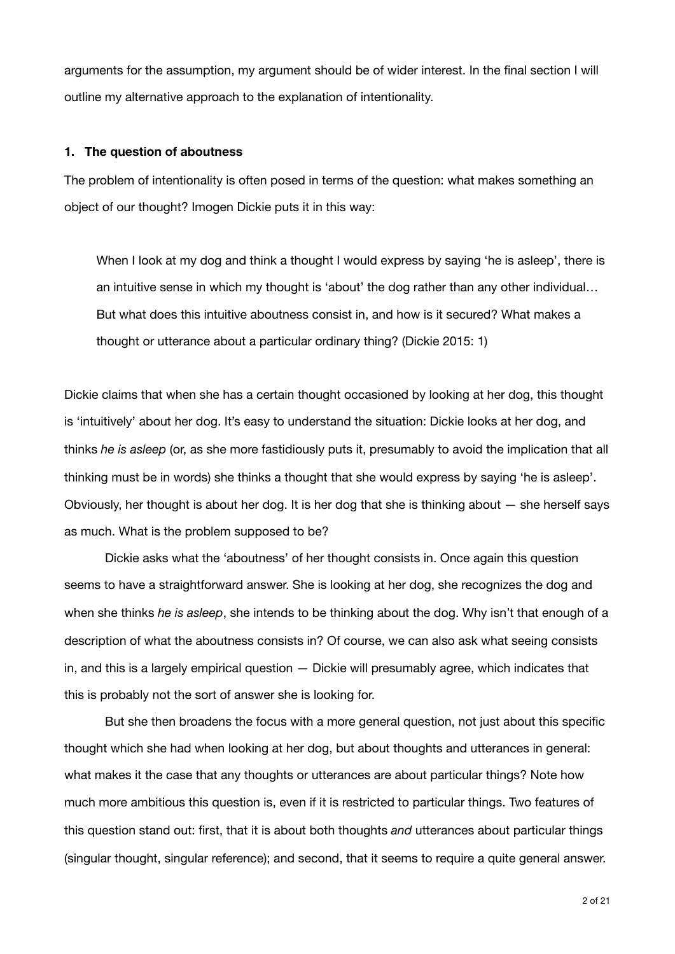arguments for the assumption, my argument should be of wider interest. In the final section I will outline my alternative approach to the explanation of intentionality.

### **1. The question of aboutness**

The problem of intentionality is often posed in terms of the question: what makes something an object of our thought? Imogen Dickie puts it in this way:

When I look at my dog and think a thought I would express by saying 'he is asleep', there is an intuitive sense in which my thought is 'about' the dog rather than any other individual… But what does this intuitive aboutness consist in, and how is it secured? What makes a thought or utterance about a particular ordinary thing? (Dickie 2015: 1)

Dickie claims that when she has a certain thought occasioned by looking at her dog, this thought is 'intuitively' about her dog. It's easy to understand the situation: Dickie looks at her dog, and thinks *he is asleep* (or, as she more fastidiously puts it, presumably to avoid the implication that all thinking must be in words) she thinks a thought that she would express by saying 'he is asleep'. Obviously, her thought is about her dog. It is her dog that she is thinking about — she herself says as much. What is the problem supposed to be?

Dickie asks what the 'aboutness' of her thought consists in. Once again this question seems to have a straightforward answer. She is looking at her dog, she recognizes the dog and when she thinks *he is asleep*, she intends to be thinking about the dog. Why isn't that enough of a description of what the aboutness consists in? Of course, we can also ask what seeing consists in, and this is a largely empirical question — Dickie will presumably agree, which indicates that this is probably not the sort of answer she is looking for.

But she then broadens the focus with a more general question, not just about this specific thought which she had when looking at her dog, but about thoughts and utterances in general: what makes it the case that any thoughts or utterances are about particular things? Note how much more ambitious this question is, even if it is restricted to particular things. Two features of this question stand out: first, that it is about both thoughts *and* utterances about particular things (singular thought, singular reference); and second, that it seems to require a quite general answer.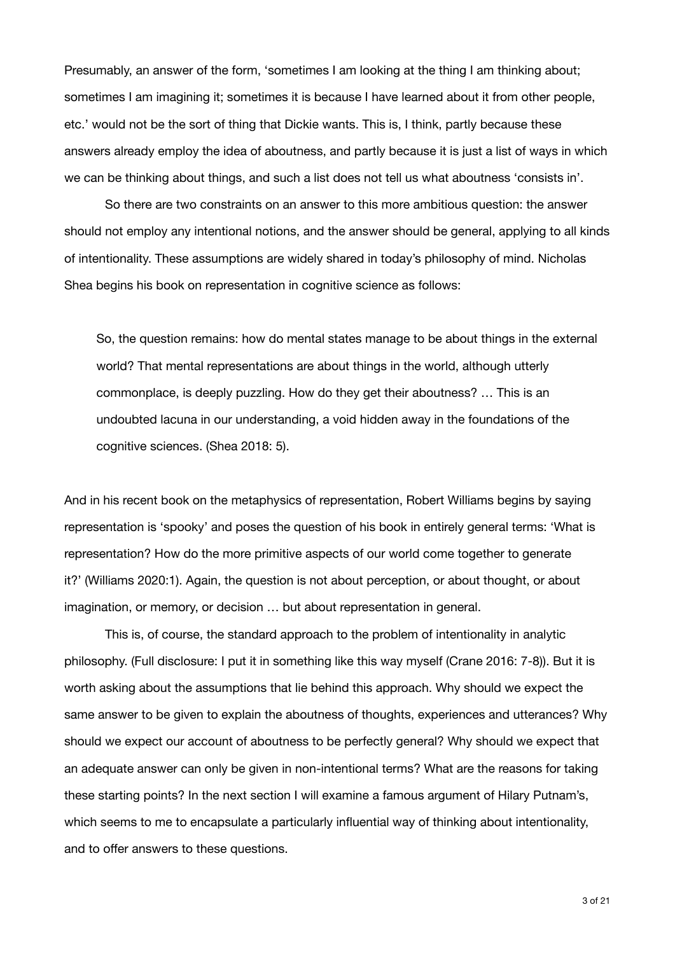Presumably, an answer of the form, 'sometimes I am looking at the thing I am thinking about; sometimes I am imagining it; sometimes it is because I have learned about it from other people, etc.' would not be the sort of thing that Dickie wants. This is, I think, partly because these answers already employ the idea of aboutness, and partly because it is just a list of ways in which we can be thinking about things, and such a list does not tell us what aboutness 'consists in'.

So there are two constraints on an answer to this more ambitious question: the answer should not employ any intentional notions, and the answer should be general, applying to all kinds of intentionality. These assumptions are widely shared in today's philosophy of mind. Nicholas Shea begins his book on representation in cognitive science as follows:

So, the question remains: how do mental states manage to be about things in the external world? That mental representations are about things in the world, although utterly commonplace, is deeply puzzling. How do they get their aboutness? … This is an undoubted lacuna in our understanding, a void hidden away in the foundations of the cognitive sciences. (Shea 2018: 5).

And in his recent book on the metaphysics of representation, Robert Williams begins by saying representation is 'spooky' and poses the question of his book in entirely general terms: 'What is representation? How do the more primitive aspects of our world come together to generate it?' (Williams 2020:1). Again, the question is not about perception, or about thought, or about imagination, or memory, or decision … but about representation in general.

This is, of course, the standard approach to the problem of intentionality in analytic philosophy. (Full disclosure: I put it in something like this way myself (Crane 2016: 7-8)). But it is worth asking about the assumptions that lie behind this approach. Why should we expect the same answer to be given to explain the aboutness of thoughts, experiences and utterances? Why should we expect our account of aboutness to be perfectly general? Why should we expect that an adequate answer can only be given in non-intentional terms? What are the reasons for taking these starting points? In the next section I will examine a famous argument of Hilary Putnam's, which seems to me to encapsulate a particularly influential way of thinking about intentionality, and to offer answers to these questions.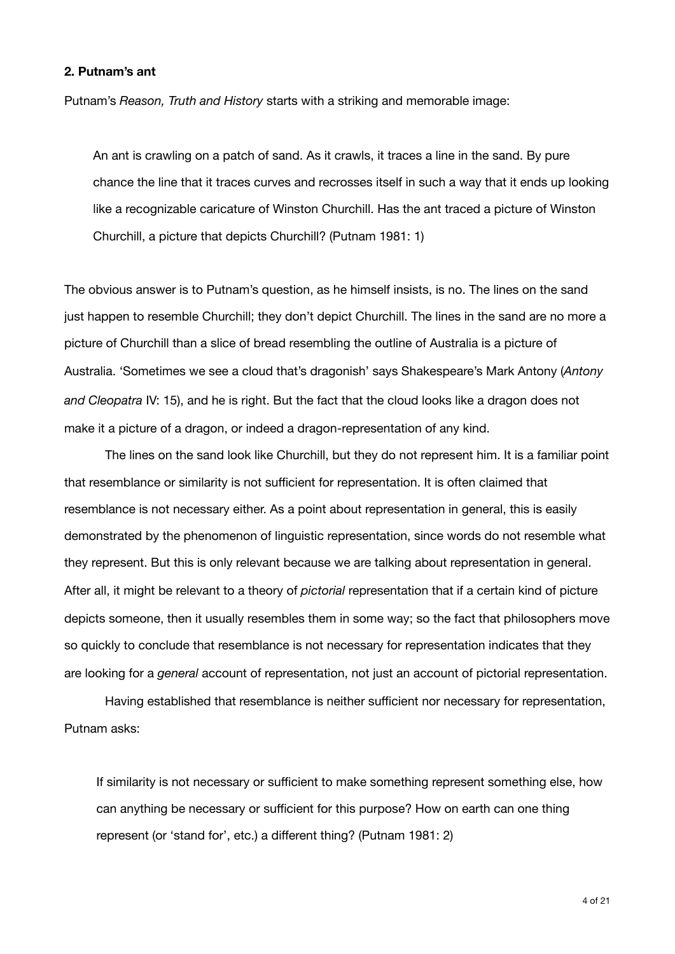# **2. Putnam's ant**

Putnam's *Reason, Truth and History* starts with a striking and memorable image:

An ant is crawling on a patch of sand. As it crawls, it traces a line in the sand. By pure chance the line that it traces curves and recrosses itself in such a way that it ends up looking like a recognizable caricature of Winston Churchill. Has the ant traced a picture of Winston Churchill, a picture that depicts Churchill? (Putnam 1981: 1)

The obvious answer is to Putnam's question, as he himself insists, is no. The lines on the sand just happen to resemble Churchill; they don't depict Churchill. The lines in the sand are no more a picture of Churchill than a slice of bread resembling the outline of Australia is a picture of Australia. 'Sometimes we see a cloud that's dragonish' says Shakespeare's Mark Antony (*Antony and Cleopatra* IV: 15), and he is right. But the fact that the cloud looks like a dragon does not make it a picture of a dragon, or indeed a dragon-representation of any kind.

The lines on the sand look like Churchill, but they do not represent him. It is a familiar point that resemblance or similarity is not sufficient for representation. It is often claimed that resemblance is not necessary either. As a point about representation in general, this is easily demonstrated by the phenomenon of linguistic representation, since words do not resemble what they represent. But this is only relevant because we are talking about representation in general. After all, it might be relevant to a theory of *pictorial* representation that if a certain kind of picture depicts someone, then it usually resembles them in some way; so the fact that philosophers move so quickly to conclude that resemblance is not necessary for representation indicates that they are looking for a *general* account of representation, not just an account of pictorial representation.

Having established that resemblance is neither sufficient nor necessary for representation, Putnam asks:

If similarity is not necessary or sufficient to make something represent something else, how can anything be necessary or sufficient for this purpose? How on earth can one thing represent (or 'stand for', etc.) a different thing? (Putnam 1981: 2)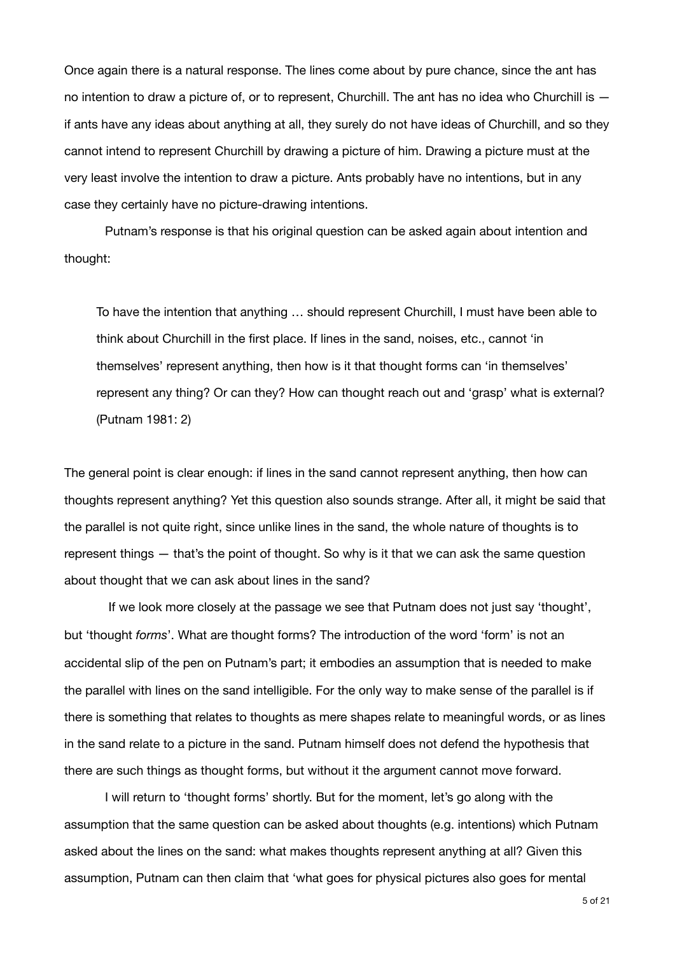Once again there is a natural response. The lines come about by pure chance, since the ant has no intention to draw a picture of, or to represent, Churchill. The ant has no idea who Churchill is if ants have any ideas about anything at all, they surely do not have ideas of Churchill, and so they cannot intend to represent Churchill by drawing a picture of him. Drawing a picture must at the very least involve the intention to draw a picture. Ants probably have no intentions, but in any case they certainly have no picture-drawing intentions.

Putnam's response is that his original question can be asked again about intention and thought:

To have the intention that anything … should represent Churchill, I must have been able to think about Churchill in the first place. If lines in the sand, noises, etc., cannot 'in themselves' represent anything, then how is it that thought forms can 'in themselves' represent any thing? Or can they? How can thought reach out and 'grasp' what is external? (Putnam 1981: 2)

The general point is clear enough: if lines in the sand cannot represent anything, then how can thoughts represent anything? Yet this question also sounds strange. After all, it might be said that the parallel is not quite right, since unlike lines in the sand, the whole nature of thoughts is to represent things — that's the point of thought. So why is it that we can ask the same question about thought that we can ask about lines in the sand?

 If we look more closely at the passage we see that Putnam does not just say 'thought', but 'thought *forms*'. What are thought forms? The introduction of the word 'form' is not an accidental slip of the pen on Putnam's part; it embodies an assumption that is needed to make the parallel with lines on the sand intelligible. For the only way to make sense of the parallel is if there is something that relates to thoughts as mere shapes relate to meaningful words, or as lines in the sand relate to a picture in the sand. Putnam himself does not defend the hypothesis that there are such things as thought forms, but without it the argument cannot move forward. 

I will return to 'thought forms' shortly. But for the moment, let's go along with the assumption that the same question can be asked about thoughts (e.g. intentions) which Putnam asked about the lines on the sand: what makes thoughts represent anything at all? Given this assumption, Putnam can then claim that 'what goes for physical pictures also goes for mental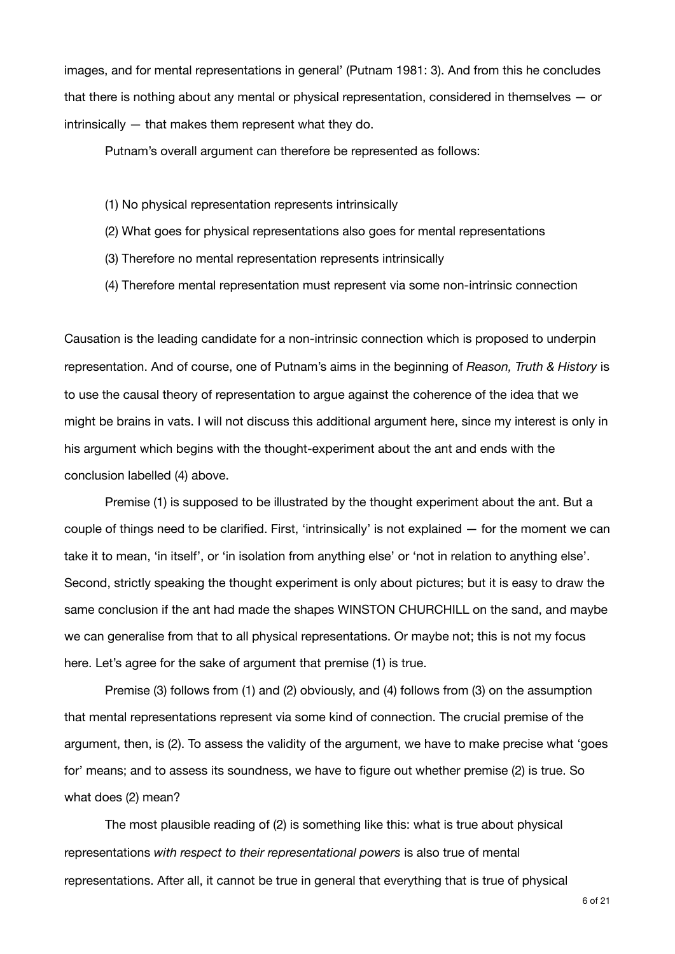images, and for mental representations in general' (Putnam 1981: 3). And from this he concludes that there is nothing about any mental or physical representation, considered in themselves — or intrinsically — that makes them represent what they do.

Putnam's overall argument can therefore be represented as follows:

- (1) No physical representation represents intrinsically
- (2) What goes for physical representations also goes for mental representations
- (3) Therefore no mental representation represents intrinsically
- (4) Therefore mental representation must represent via some non-intrinsic connection

Causation is the leading candidate for a non-intrinsic connection which is proposed to underpin representation. And of course, one of Putnam's aims in the beginning of *Reason, Truth & History* is to use the causal theory of representation to argue against the coherence of the idea that we might be brains in vats. I will not discuss this additional argument here, since my interest is only in his argument which begins with the thought-experiment about the ant and ends with the conclusion labelled (4) above.

Premise (1) is supposed to be illustrated by the thought experiment about the ant. But a couple of things need to be clarified. First, 'intrinsically' is not explained — for the moment we can take it to mean, 'in itself', or 'in isolation from anything else' or 'not in relation to anything else'. Second, strictly speaking the thought experiment is only about pictures; but it is easy to draw the same conclusion if the ant had made the shapes WINSTON CHURCHILL on the sand, and maybe we can generalise from that to all physical representations. Or maybe not; this is not my focus here. Let's agree for the sake of argument that premise (1) is true.

Premise (3) follows from (1) and (2) obviously, and (4) follows from (3) on the assumption that mental representations represent via some kind of connection. The crucial premise of the argument, then, is (2). To assess the validity of the argument, we have to make precise what 'goes for' means; and to assess its soundness, we have to figure out whether premise (2) is true. So what does (2) mean?

The most plausible reading of (2) is something like this: what is true about physical representations *with respect to their representational powers* is also true of mental representations. After all, it cannot be true in general that everything that is true of physical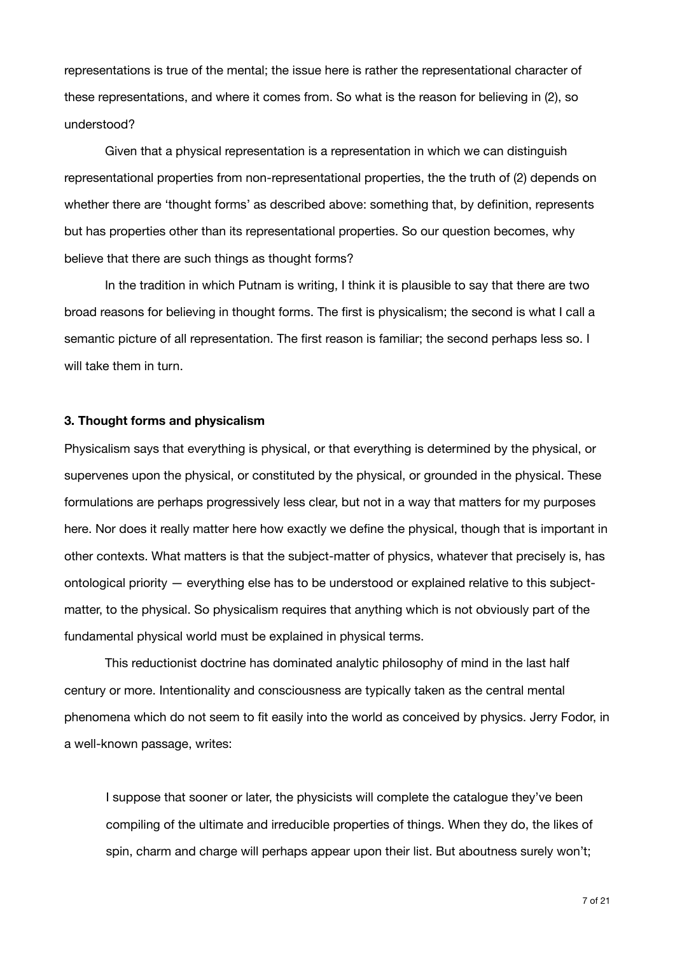representations is true of the mental; the issue here is rather the representational character of these representations, and where it comes from. So what is the reason for believing in (2), so understood?

Given that a physical representation is a representation in which we can distinguish representational properties from non-representational properties, the the truth of (2) depends on whether there are 'thought forms' as described above: something that, by definition, represents but has properties other than its representational properties. So our question becomes, why believe that there are such things as thought forms?

In the tradition in which Putnam is writing, I think it is plausible to say that there are two broad reasons for believing in thought forms. The first is physicalism; the second is what I call a semantic picture of all representation. The first reason is familiar; the second perhaps less so. I will take them in turn.

### **3. Thought forms and physicalism**

Physicalism says that everything is physical, or that everything is determined by the physical, or supervenes upon the physical, or constituted by the physical, or grounded in the physical. These formulations are perhaps progressively less clear, but not in a way that matters for my purposes here. Nor does it really matter here how exactly we define the physical, though that is important in other contexts. What matters is that the subject-matter of physics, whatever that precisely is, has ontological priority — everything else has to be understood or explained relative to this subjectmatter, to the physical. So physicalism requires that anything which is not obviously part of the fundamental physical world must be explained in physical terms.

This reductionist doctrine has dominated analytic philosophy of mind in the last half century or more. Intentionality and consciousness are typically taken as the central mental phenomena which do not seem to fit easily into the world as conceived by physics. Jerry Fodor, in a well-known passage, writes:

I suppose that sooner or later, the physicists will complete the catalogue they've been compiling of the ultimate and irreducible properties of things. When they do, the likes of spin, charm and charge will perhaps appear upon their list. But aboutness surely won't;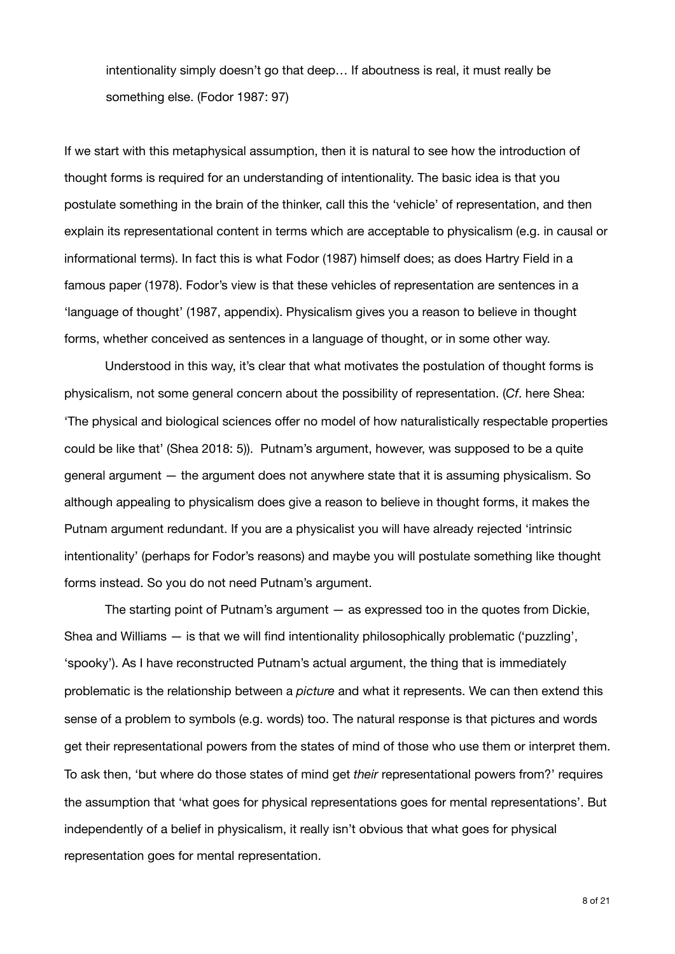intentionality simply doesn't go that deep… If aboutness is real, it must really be something else. (Fodor 1987: 97)

If we start with this metaphysical assumption, then it is natural to see how the introduction of thought forms is required for an understanding of intentionality. The basic idea is that you postulate something in the brain of the thinker, call this the 'vehicle' of representation, and then explain its representational content in terms which are acceptable to physicalism (e.g. in causal or informational terms). In fact this is what Fodor (1987) himself does; as does Hartry Field in a famous paper (1978). Fodor's view is that these vehicles of representation are sentences in a 'language of thought' (1987, appendix). Physicalism gives you a reason to believe in thought forms, whether conceived as sentences in a language of thought, or in some other way.

Understood in this way, it's clear that what motivates the postulation of thought forms is physicalism, not some general concern about the possibility of representation. (*Cf*. here Shea: 'The physical and biological sciences offer no model of how naturalistically respectable properties could be like that' (Shea 2018: 5)). Putnam's argument, however, was supposed to be a quite general argument — the argument does not anywhere state that it is assuming physicalism. So although appealing to physicalism does give a reason to believe in thought forms, it makes the Putnam argument redundant. If you are a physicalist you will have already rejected 'intrinsic intentionality' (perhaps for Fodor's reasons) and maybe you will postulate something like thought forms instead. So you do not need Putnam's argument.

The starting point of Putnam's argument — as expressed too in the quotes from Dickie, Shea and Williams — is that we will find intentionality philosophically problematic ('puzzling', 'spooky'). As I have reconstructed Putnam's actual argument, the thing that is immediately problematic is the relationship between a *picture* and what it represents. We can then extend this sense of a problem to symbols (e.g. words) too. The natural response is that pictures and words get their representational powers from the states of mind of those who use them or interpret them. To ask then, 'but where do those states of mind get *their* representational powers from?' requires the assumption that 'what goes for physical representations goes for mental representations'. But independently of a belief in physicalism, it really isn't obvious that what goes for physical representation goes for mental representation.

8 of 21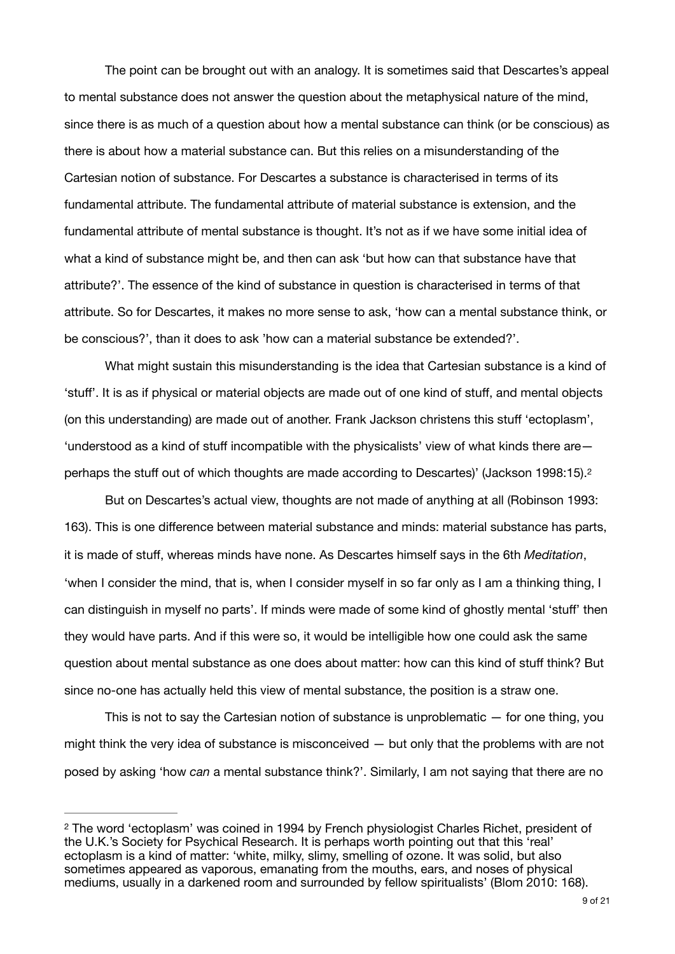The point can be brought out with an analogy. It is sometimes said that Descartes's appeal to mental substance does not answer the question about the metaphysical nature of the mind, since there is as much of a question about how a mental substance can think (or be conscious) as there is about how a material substance can. But this relies on a misunderstanding of the Cartesian notion of substance. For Descartes a substance is characterised in terms of its fundamental attribute. The fundamental attribute of material substance is extension, and the fundamental attribute of mental substance is thought. It's not as if we have some initial idea of what a kind of substance might be, and then can ask 'but how can that substance have that attribute?'. The essence of the kind of substance in question is characterised in terms of that attribute. So for Descartes, it makes no more sense to ask, 'how can a mental substance think, or be conscious?', than it does to ask 'how can a material substance be extended?'.

What might sustain this misunderstanding is the idea that Cartesian substance is a kind of 'stuff'. It is as if physical or material objects are made out of one kind of stuff, and mental objects (on this understanding) are made out of another. Frank Jackson christens this stuff 'ectoplasm', 'understood as a kind of stuff incompatible with the physicalists' view of what kinds there are perhaps the stuff out of which thoughts are made according to Descartes)' (Jackson 1998:15)[.2](#page-8-0)

<span id="page-8-1"></span>But on Descartes's actual view, thoughts are not made of anything at all (Robinson 1993: 163). This is one difference between material substance and minds: material substance has parts, it is made of stuff, whereas minds have none. As Descartes himself says in the 6th *Meditation*, 'when I consider the mind, that is, when I consider myself in so far only as I am a thinking thing, I can distinguish in myself no parts'. If minds were made of some kind of ghostly mental 'stuff' then they would have parts. And if this were so, it would be intelligible how one could ask the same question about mental substance as one does about matter: how can this kind of stuff think? But since no-one has actually held this view of mental substance, the position is a straw one.

This is not to say the Cartesian notion of substance is unproblematic — for one thing, you might think the very idea of substance is misconceived — but only that the problems with are not posed by asking 'how *can* a mental substance think?'. Similarly, I am not saying that there are no

<span id="page-8-0"></span><sup>&</sup>lt;sup>2</sup>The word 'ectoplasm' was coined in 1994 by French physiologist Charles Richet, president of the U.K.'s Society for Psychical Research. It is perhaps worth pointing out that this 'real' ectoplasm is a kind of matter: 'white, milky, slimy, smelling of ozone. It was solid, but also sometimes appeared as vaporous, emanating from the mouths, ears, and noses of physical mediums, usually in a darkened room and surrounded by fellow spiritualists' (Blom 2010: 168).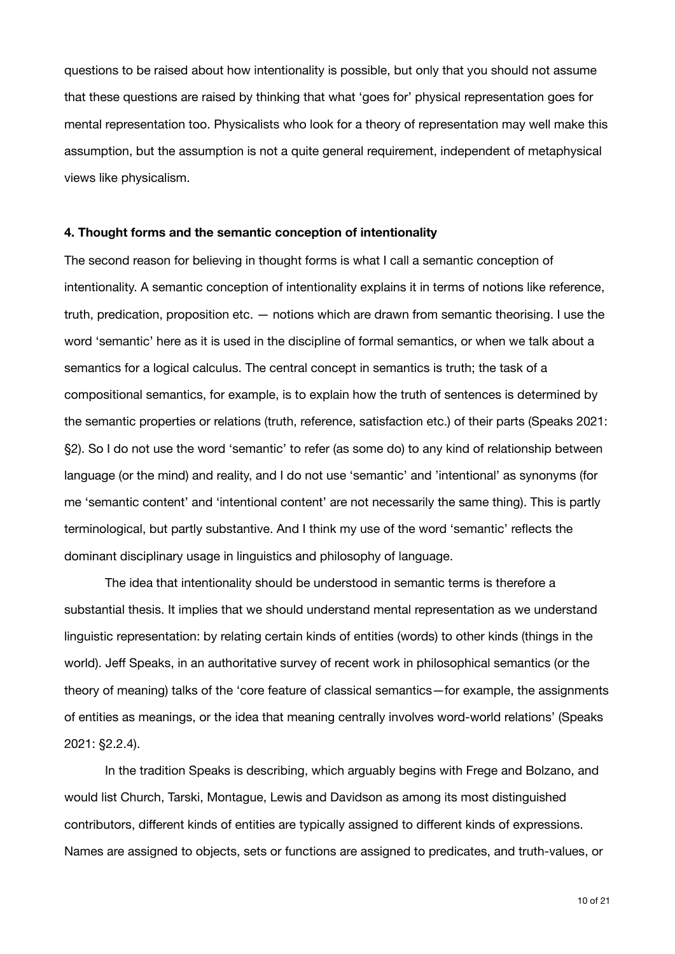questions to be raised about how intentionality is possible, but only that you should not assume that these questions are raised by thinking that what 'goes for' physical representation goes for mental representation too. Physicalists who look for a theory of representation may well make this assumption, but the assumption is not a quite general requirement, independent of metaphysical views like physicalism.

### **4. Thought forms and the semantic conception of intentionality**

The second reason for believing in thought forms is what I call a semantic conception of intentionality. A semantic conception of intentionality explains it in terms of notions like reference, truth, predication, proposition etc. — notions which are drawn from semantic theorising. I use the word 'semantic' here as it is used in the discipline of formal semantics, or when we talk about a semantics for a logical calculus. The central concept in semantics is truth; the task of a compositional semantics, for example, is to explain how the truth of sentences is determined by the semantic properties or relations (truth, reference, satisfaction etc.) of their parts (Speaks 2021: §2). So I do not use the word 'semantic' to refer (as some do) to any kind of relationship between language (or the mind) and reality, and I do not use 'semantic' and 'intentional' as synonyms (for me 'semantic content' and 'intentional content' are not necessarily the same thing). This is partly terminological, but partly substantive. And I think my use of the word 'semantic' reflects the dominant disciplinary usage in linguistics and philosophy of language.

The idea that intentionality should be understood in semantic terms is therefore a substantial thesis. It implies that we should understand mental representation as we understand linguistic representation: by relating certain kinds of entities (words) to other kinds (things in the world). Jeff Speaks, in an authoritative survey of recent work in philosophical semantics (or the theory of meaning) talks of the 'core feature of classical semantics—for example, the assignments of entities as meanings, or the idea that meaning centrally involves word-world relations' (Speaks 2021: §2.2.4).

In the tradition Speaks is describing, which arguably begins with Frege and Bolzano, and would list Church, Tarski, Montague, Lewis and Davidson as among its most distinguished contributors, different kinds of entities are typically assigned to different kinds of expressions. Names are assigned to objects, sets or functions are assigned to predicates, and truth-values, or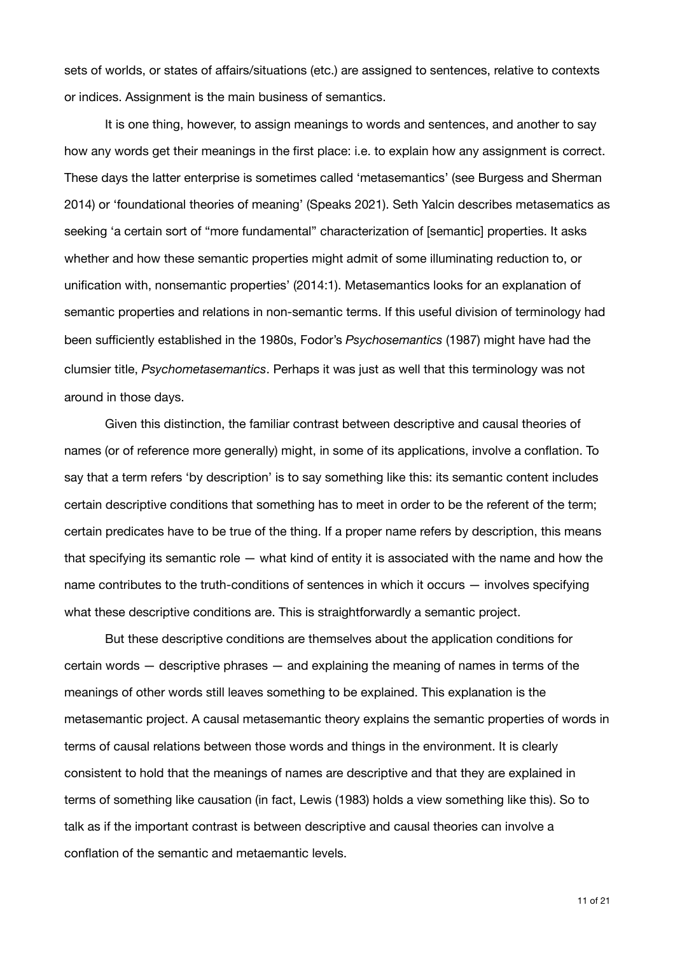sets of worlds, or states of affairs/situations (etc.) are assigned to sentences, relative to contexts or indices. Assignment is the main business of semantics.

It is one thing, however, to assign meanings to words and sentences, and another to say how any words get their meanings in the first place: i.e. to explain how any assignment is correct. These days the latter enterprise is sometimes called 'metasemantics' (see Burgess and Sherman 2014) or 'foundational theories of meaning' (Speaks 2021). Seth Yalcin describes metasematics as seeking 'a certain sort of "more fundamental" characterization of [semantic] properties. It asks whether and how these semantic properties might admit of some illuminating reduction to, or unification with, nonsemantic properties' (2014:1). Metasemantics looks for an explanation of semantic properties and relations in non-semantic terms. If this useful division of terminology had been sufficiently established in the 1980s, Fodor's *Psychosemantics* (1987) might have had the clumsier title, *Psychometasemantics*. Perhaps it was just as well that this terminology was not around in those days.

Given this distinction, the familiar contrast between descriptive and causal theories of names (or of reference more generally) might, in some of its applications, involve a conflation. To say that a term refers 'by description' is to say something like this: its semantic content includes certain descriptive conditions that something has to meet in order to be the referent of the term; certain predicates have to be true of the thing. If a proper name refers by description, this means that specifying its semantic role — what kind of entity it is associated with the name and how the name contributes to the truth-conditions of sentences in which it occurs — involves specifying what these descriptive conditions are. This is straightforwardly a semantic project.

But these descriptive conditions are themselves about the application conditions for certain words — descriptive phrases — and explaining the meaning of names in terms of the meanings of other words still leaves something to be explained. This explanation is the metasemantic project. A causal metasemantic theory explains the semantic properties of words in terms of causal relations between those words and things in the environment. It is clearly consistent to hold that the meanings of names are descriptive and that they are explained in terms of something like causation (in fact, Lewis (1983) holds a view something like this). So to talk as if the important contrast is between descriptive and causal theories can involve a conflation of the semantic and metaemantic levels.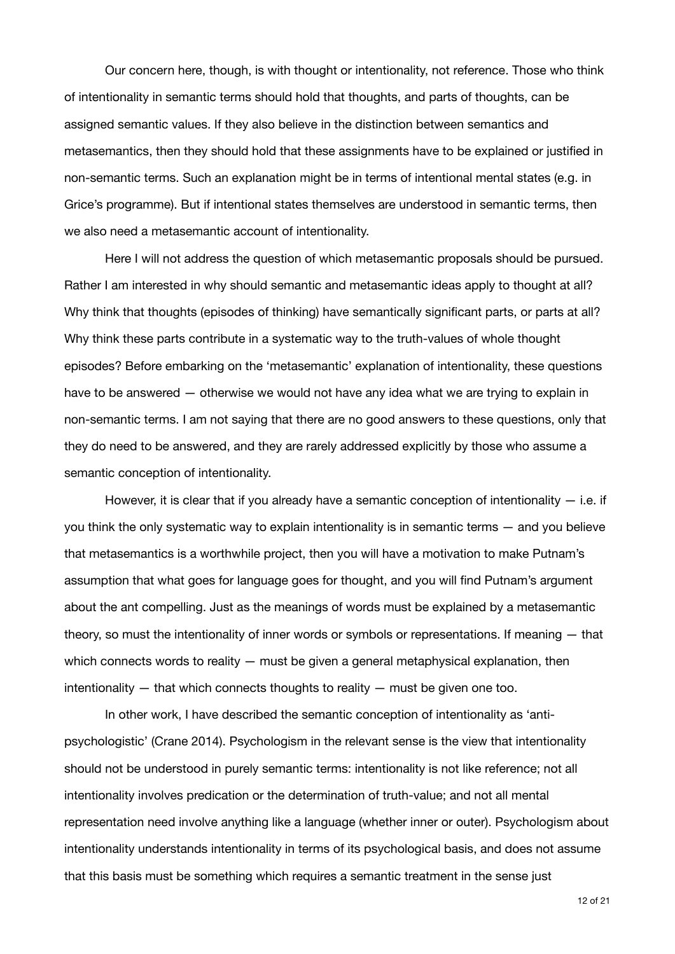Our concern here, though, is with thought or intentionality, not reference. Those who think of intentionality in semantic terms should hold that thoughts, and parts of thoughts, can be assigned semantic values. If they also believe in the distinction between semantics and metasemantics, then they should hold that these assignments have to be explained or justified in non-semantic terms. Such an explanation might be in terms of intentional mental states (e.g. in Grice's programme). But if intentional states themselves are understood in semantic terms, then we also need a metasemantic account of intentionality.

Here I will not address the question of which metasemantic proposals should be pursued. Rather I am interested in why should semantic and metasemantic ideas apply to thought at all? Why think that thoughts (episodes of thinking) have semantically significant parts, or parts at all? Why think these parts contribute in a systematic way to the truth-values of whole thought episodes? Before embarking on the 'metasemantic' explanation of intentionality, these questions have to be answered — otherwise we would not have any idea what we are trying to explain in non-semantic terms. I am not saying that there are no good answers to these questions, only that they do need to be answered, and they are rarely addressed explicitly by those who assume a semantic conception of intentionality.

However, it is clear that if you already have a semantic conception of intentionality  $-$  i.e. if you think the only systematic way to explain intentionality is in semantic terms — and you believe that metasemantics is a worthwhile project, then you will have a motivation to make Putnam's assumption that what goes for language goes for thought, and you will find Putnam's argument about the ant compelling. Just as the meanings of words must be explained by a metasemantic theory, so must the intentionality of inner words or symbols or representations. If meaning — that which connects words to reality  $-$  must be given a general metaphysical explanation, then intentionality  $-$  that which connects thoughts to reality  $-$  must be given one too.

In other work, I have described the semantic conception of intentionality as 'antipsychologistic' (Crane 2014). Psychologism in the relevant sense is the view that intentionality should not be understood in purely semantic terms: intentionality is not like reference; not all intentionality involves predication or the determination of truth-value; and not all mental representation need involve anything like a language (whether inner or outer). Psychologism about intentionality understands intentionality in terms of its psychological basis, and does not assume that this basis must be something which requires a semantic treatment in the sense just

12 of 21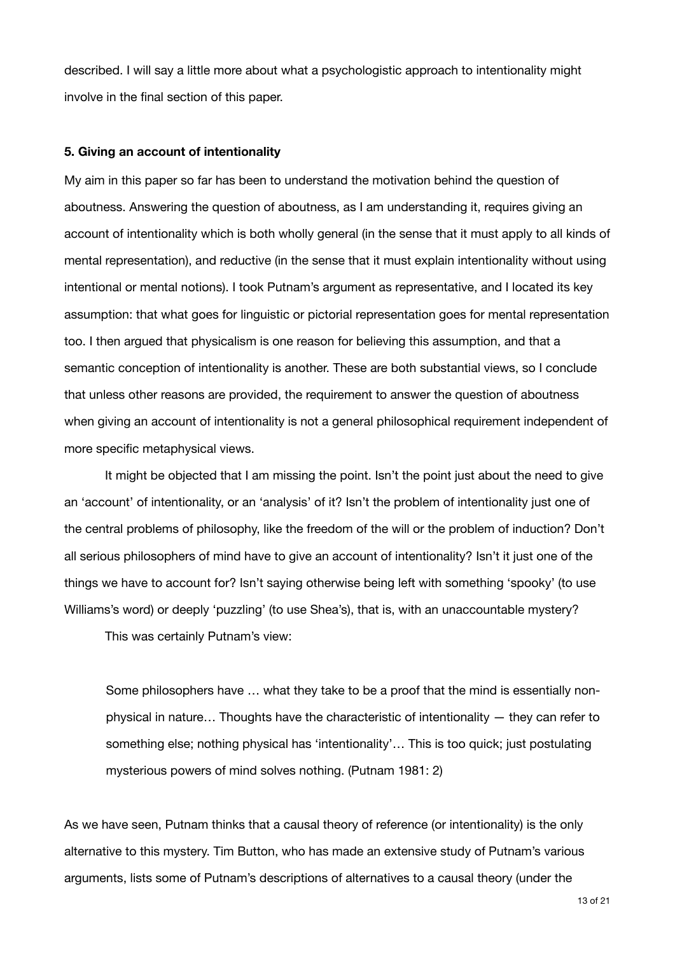described. I will say a little more about what a psychologistic approach to intentionality might involve in the final section of this paper.

### **5. Giving an account of intentionality**

My aim in this paper so far has been to understand the motivation behind the question of aboutness. Answering the question of aboutness, as I am understanding it, requires giving an account of intentionality which is both wholly general (in the sense that it must apply to all kinds of mental representation), and reductive (in the sense that it must explain intentionality without using intentional or mental notions). I took Putnam's argument as representative, and I located its key assumption: that what goes for linguistic or pictorial representation goes for mental representation too. I then argued that physicalism is one reason for believing this assumption, and that a semantic conception of intentionality is another. These are both substantial views, so I conclude that unless other reasons are provided, the requirement to answer the question of aboutness when giving an account of intentionality is not a general philosophical requirement independent of more specific metaphysical views.

It might be objected that I am missing the point. Isn't the point just about the need to give an 'account' of intentionality, or an 'analysis' of it? Isn't the problem of intentionality just one of the central problems of philosophy, like the freedom of the will or the problem of induction? Don't all serious philosophers of mind have to give an account of intentionality? Isn't it just one of the things we have to account for? Isn't saying otherwise being left with something 'spooky' (to use Williams's word) or deeply 'puzzling' (to use Shea's), that is, with an unaccountable mystery?

This was certainly Putnam's view:

Some philosophers have … what they take to be a proof that the mind is essentially nonphysical in nature… Thoughts have the characteristic of intentionality — they can refer to something else; nothing physical has 'intentionality'… This is too quick; just postulating mysterious powers of mind solves nothing. (Putnam 1981: 2)

As we have seen, Putnam thinks that a causal theory of reference (or intentionality) is the only alternative to this mystery. Tim Button, who has made an extensive study of Putnam's various arguments, lists some of Putnam's descriptions of alternatives to a causal theory (under the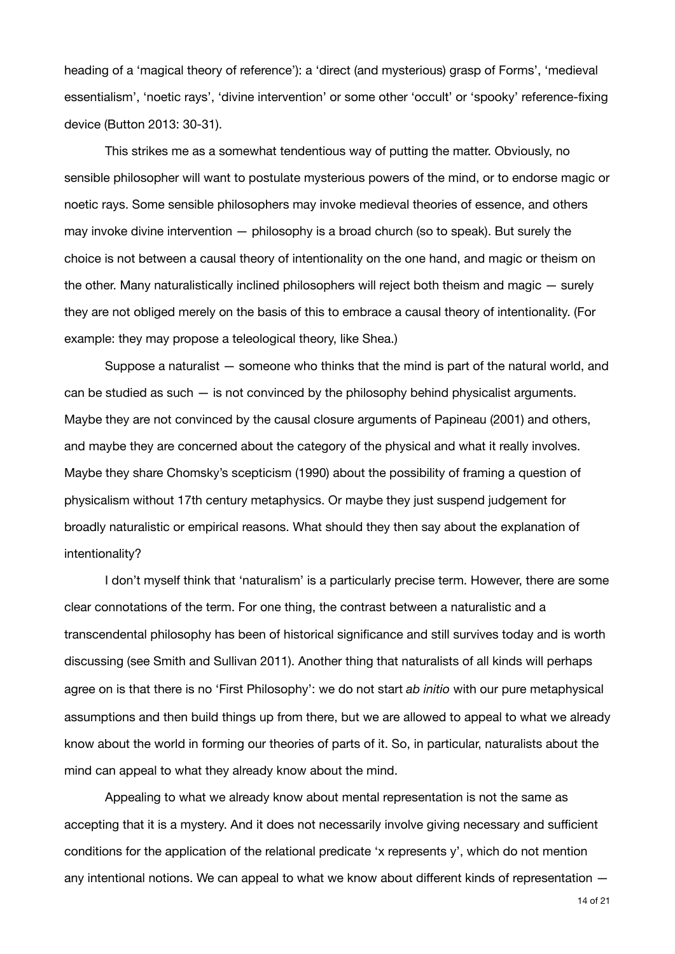heading of a 'magical theory of reference'): a 'direct (and mysterious) grasp of Forms', 'medieval essentialism', 'noetic rays', 'divine intervention' or some other 'occult' or 'spooky' reference-fixing device (Button 2013: 30-31).

This strikes me as a somewhat tendentious way of putting the matter. Obviously, no sensible philosopher will want to postulate mysterious powers of the mind, or to endorse magic or noetic rays. Some sensible philosophers may invoke medieval theories of essence, and others may invoke divine intervention — philosophy is a broad church (so to speak). But surely the choice is not between a causal theory of intentionality on the one hand, and magic or theism on the other. Many naturalistically inclined philosophers will reject both theism and magic — surely they are not obliged merely on the basis of this to embrace a causal theory of intentionality. (For example: they may propose a teleological theory, like Shea.)

Suppose a naturalist — someone who thinks that the mind is part of the natural world, and can be studied as such  $-$  is not convinced by the philosophy behind physicalist arguments. Maybe they are not convinced by the causal closure arguments of Papineau (2001) and others, and maybe they are concerned about the category of the physical and what it really involves. Maybe they share Chomsky's scepticism (1990) about the possibility of framing a question of physicalism without 17th century metaphysics. Or maybe they just suspend judgement for broadly naturalistic or empirical reasons. What should they then say about the explanation of intentionality?

I don't myself think that 'naturalism' is a particularly precise term. However, there are some clear connotations of the term. For one thing, the contrast between a naturalistic and a transcendental philosophy has been of historical significance and still survives today and is worth discussing (see Smith and Sullivan 2011). Another thing that naturalists of all kinds will perhaps agree on is that there is no 'First Philosophy': we do not start *ab initio* with our pure metaphysical assumptions and then build things up from there, but we are allowed to appeal to what we already know about the world in forming our theories of parts of it. So, in particular, naturalists about the mind can appeal to what they already know about the mind.

Appealing to what we already know about mental representation is not the same as accepting that it is a mystery. And it does not necessarily involve giving necessary and sufficient conditions for the application of the relational predicate 'x represents y', which do not mention any intentional notions. We can appeal to what we know about different kinds of representation —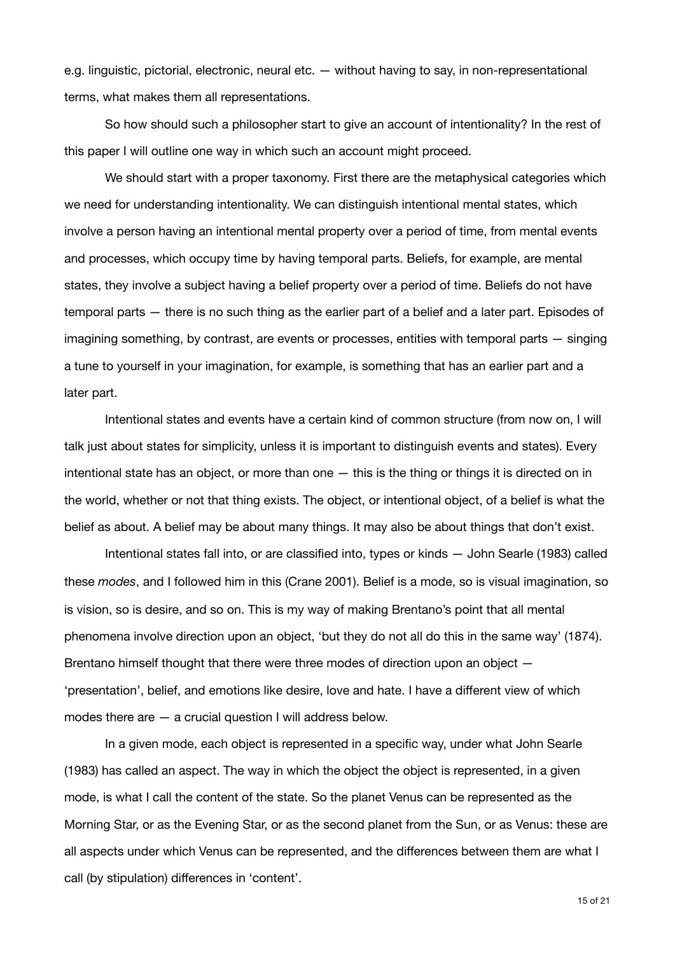e.g. linguistic, pictorial, electronic, neural etc. — without having to say, in non-representational terms, what makes them all representations.

So how should such a philosopher start to give an account of intentionality? In the rest of this paper I will outline one way in which such an account might proceed.

We should start with a proper taxonomy. First there are the metaphysical categories which we need for understanding intentionality. We can distinguish intentional mental states, which involve a person having an intentional mental property over a period of time, from mental events and processes, which occupy time by having temporal parts. Beliefs, for example, are mental states, they involve a subject having a belief property over a period of time. Beliefs do not have temporal parts — there is no such thing as the earlier part of a belief and a later part. Episodes of imagining something, by contrast, are events or processes, entities with temporal parts — singing a tune to yourself in your imagination, for example, is something that has an earlier part and a later part.

Intentional states and events have a certain kind of common structure (from now on, I will talk just about states for simplicity, unless it is important to distinguish events and states). Every intentional state has an object, or more than one — this is the thing or things it is directed on in the world, whether or not that thing exists. The object, or intentional object, of a belief is what the belief as about. A belief may be about many things. It may also be about things that don't exist.

Intentional states fall into, or are classified into, types or kinds — John Searle (1983) called these *modes*, and I followed him in this (Crane 2001). Belief is a mode, so is visual imagination, so is vision, so is desire, and so on. This is my way of making Brentano's point that all mental phenomena involve direction upon an object, 'but they do not all do this in the same way' (1874). Brentano himself thought that there were three modes of direction upon an object — 'presentation', belief, and emotions like desire, love and hate. I have a different view of which modes there are — a crucial question I will address below.

In a given mode, each object is represented in a specific way, under what John Searle (1983) has called an aspect. The way in which the object the object is represented, in a given mode, is what I call the content of the state. So the planet Venus can be represented as the Morning Star, or as the Evening Star, or as the second planet from the Sun, or as Venus: these are all aspects under which Venus can be represented, and the differences between them are what I call (by stipulation) differences in 'content'.

15 of 21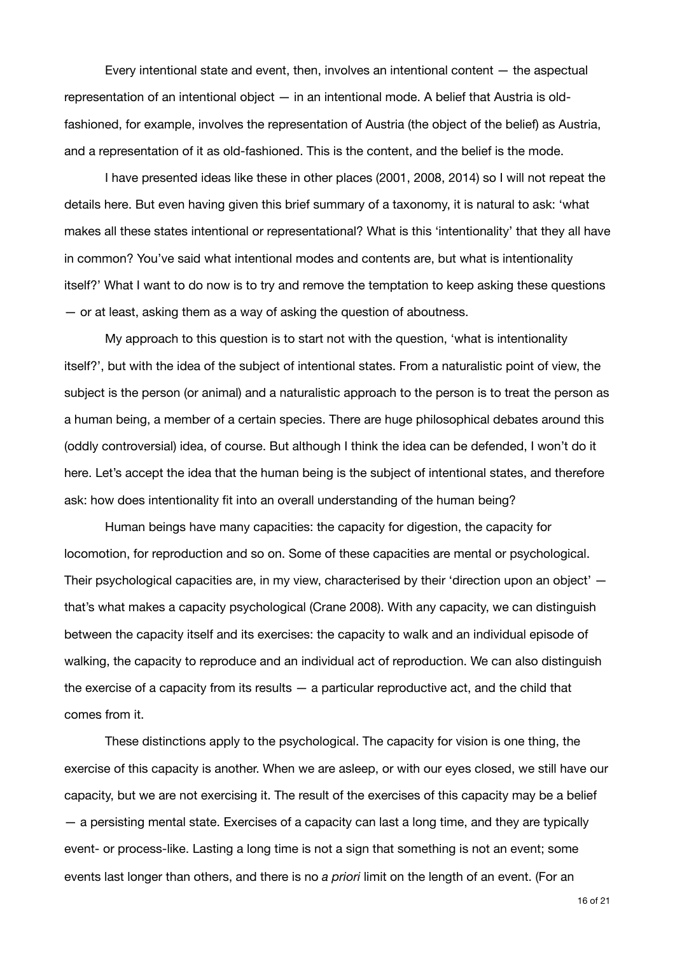Every intentional state and event, then, involves an intentional content — the aspectual representation of an intentional object — in an intentional mode. A belief that Austria is oldfashioned, for example, involves the representation of Austria (the object of the belief) as Austria, and a representation of it as old-fashioned. This is the content, and the belief is the mode.

I have presented ideas like these in other places (2001, 2008, 2014) so I will not repeat the details here. But even having given this brief summary of a taxonomy, it is natural to ask: 'what makes all these states intentional or representational? What is this 'intentionality' that they all have in common? You've said what intentional modes and contents are, but what is intentionality itself?' What I want to do now is to try and remove the temptation to keep asking these questions — or at least, asking them as a way of asking the question of aboutness.

My approach to this question is to start not with the question, 'what is intentionality itself?', but with the idea of the subject of intentional states. From a naturalistic point of view, the subject is the person (or animal) and a naturalistic approach to the person is to treat the person as a human being, a member of a certain species. There are huge philosophical debates around this (oddly controversial) idea, of course. But although I think the idea can be defended, I won't do it here. Let's accept the idea that the human being is the subject of intentional states, and therefore ask: how does intentionality fit into an overall understanding of the human being?

Human beings have many capacities: the capacity for digestion, the capacity for locomotion, for reproduction and so on. Some of these capacities are mental or psychological. Their psychological capacities are, in my view, characterised by their 'direction upon an object' that's what makes a capacity psychological (Crane 2008). With any capacity, we can distinguish between the capacity itself and its exercises: the capacity to walk and an individual episode of walking, the capacity to reproduce and an individual act of reproduction. We can also distinguish the exercise of a capacity from its results — a particular reproductive act, and the child that comes from it.

These distinctions apply to the psychological. The capacity for vision is one thing, the exercise of this capacity is another. When we are asleep, or with our eyes closed, we still have our capacity, but we are not exercising it. The result of the exercises of this capacity may be a belief — a persisting mental state. Exercises of a capacity can last a long time, and they are typically event- or process-like. Lasting a long time is not a sign that something is not an event; some events last longer than others, and there is no *a priori* limit on the length of an event. (For an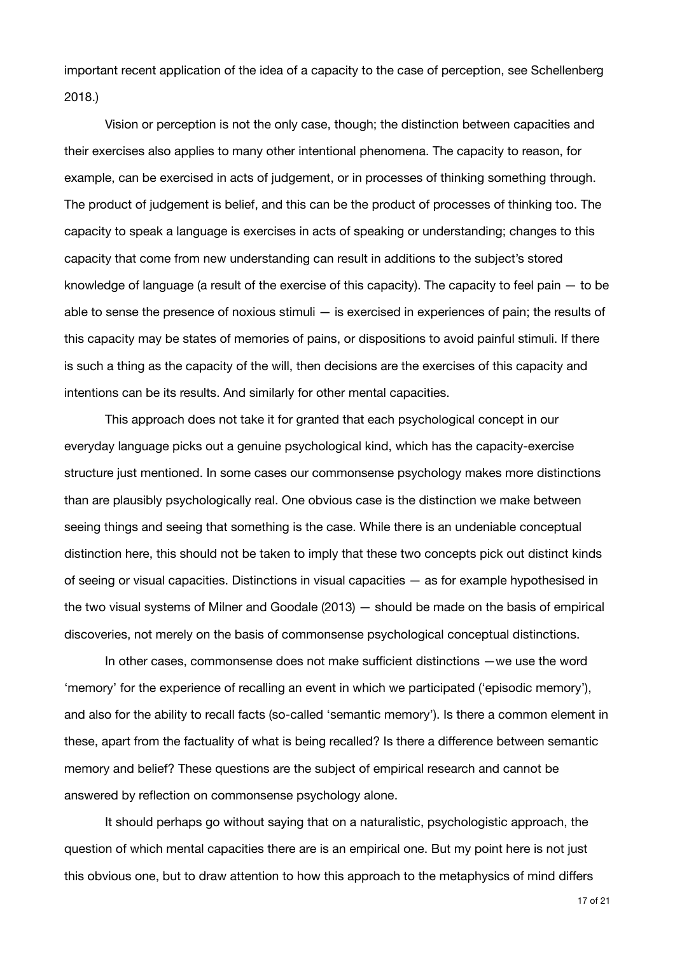important recent application of the idea of a capacity to the case of perception, see Schellenberg 2018.)

Vision or perception is not the only case, though; the distinction between capacities and their exercises also applies to many other intentional phenomena. The capacity to reason, for example, can be exercised in acts of judgement, or in processes of thinking something through. The product of judgement is belief, and this can be the product of processes of thinking too. The capacity to speak a language is exercises in acts of speaking or understanding; changes to this capacity that come from new understanding can result in additions to the subject's stored knowledge of language (a result of the exercise of this capacity). The capacity to feel pain — to be able to sense the presence of noxious stimuli — is exercised in experiences of pain; the results of this capacity may be states of memories of pains, or dispositions to avoid painful stimuli. If there is such a thing as the capacity of the will, then decisions are the exercises of this capacity and intentions can be its results. And similarly for other mental capacities.

This approach does not take it for granted that each psychological concept in our everyday language picks out a genuine psychological kind, which has the capacity-exercise structure just mentioned. In some cases our commonsense psychology makes more distinctions than are plausibly psychologically real. One obvious case is the distinction we make between seeing things and seeing that something is the case. While there is an undeniable conceptual distinction here, this should not be taken to imply that these two concepts pick out distinct kinds of seeing or visual capacities. Distinctions in visual capacities — as for example hypothesised in the two visual systems of Milner and Goodale (2013) — should be made on the basis of empirical discoveries, not merely on the basis of commonsense psychological conceptual distinctions.

In other cases, commonsense does not make sufficient distinctions —we use the word 'memory' for the experience of recalling an event in which we participated ('episodic memory'), and also for the ability to recall facts (so-called 'semantic memory'). Is there a common element in these, apart from the factuality of what is being recalled? Is there a difference between semantic memory and belief? These questions are the subject of empirical research and cannot be answered by reflection on commonsense psychology alone.

It should perhaps go without saying that on a naturalistic, psychologistic approach, the question of which mental capacities there are is an empirical one. But my point here is not just this obvious one, but to draw attention to how this approach to the metaphysics of mind differs

17 of 21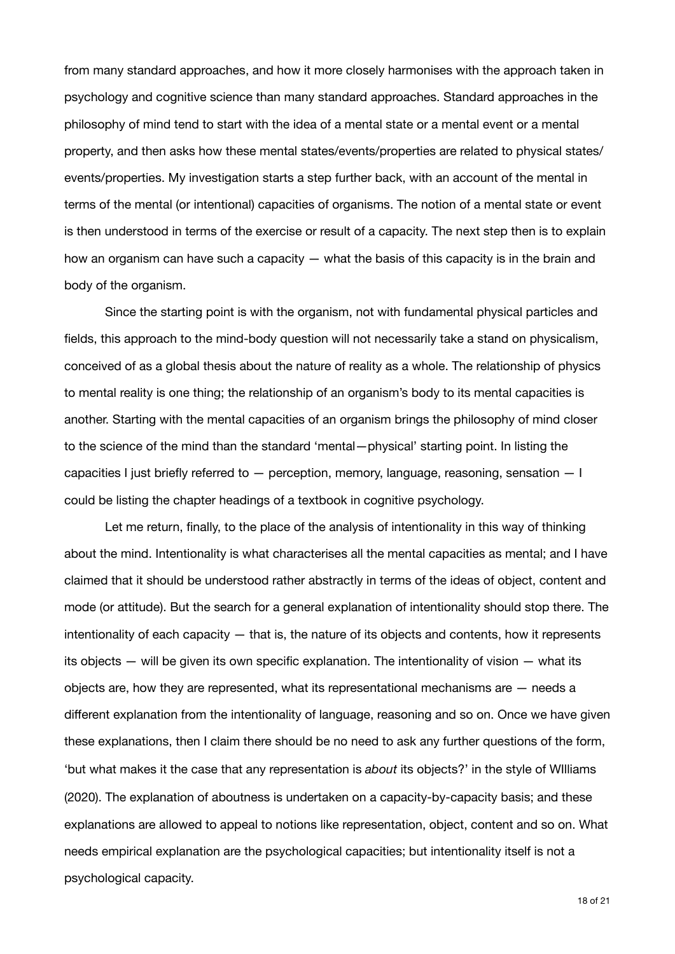from many standard approaches, and how it more closely harmonises with the approach taken in psychology and cognitive science than many standard approaches. Standard approaches in the philosophy of mind tend to start with the idea of a mental state or a mental event or a mental property, and then asks how these mental states/events/properties are related to physical states/ events/properties. My investigation starts a step further back, with an account of the mental in terms of the mental (or intentional) capacities of organisms. The notion of a mental state or event is then understood in terms of the exercise or result of a capacity. The next step then is to explain how an organism can have such a capacity — what the basis of this capacity is in the brain and body of the organism.

Since the starting point is with the organism, not with fundamental physical particles and fields, this approach to the mind-body question will not necessarily take a stand on physicalism, conceived of as a global thesis about the nature of reality as a whole. The relationship of physics to mental reality is one thing; the relationship of an organism's body to its mental capacities is another. Starting with the mental capacities of an organism brings the philosophy of mind closer to the science of the mind than the standard 'mental—physical' starting point. In listing the capacities I just briefly referred to — perception, memory, language, reasoning, sensation — I could be listing the chapter headings of a textbook in cognitive psychology.

Let me return, finally, to the place of the analysis of intentionality in this way of thinking about the mind. Intentionality is what characterises all the mental capacities as mental; and I have claimed that it should be understood rather abstractly in terms of the ideas of object, content and mode (or attitude). But the search for a general explanation of intentionality should stop there. The intentionality of each capacity — that is, the nature of its objects and contents, how it represents its objects — will be given its own specific explanation. The intentionality of vision — what its objects are, how they are represented, what its representational mechanisms are — needs a different explanation from the intentionality of language, reasoning and so on. Once we have given these explanations, then I claim there should be no need to ask any further questions of the form, 'but what makes it the case that any representation is *about* its objects?' in the style of WIlliams (2020). The explanation of aboutness is undertaken on a capacity-by-capacity basis; and these explanations are allowed to appeal to notions like representation, object, content and so on. What needs empirical explanation are the psychological capacities; but intentionality itself is not a psychological capacity.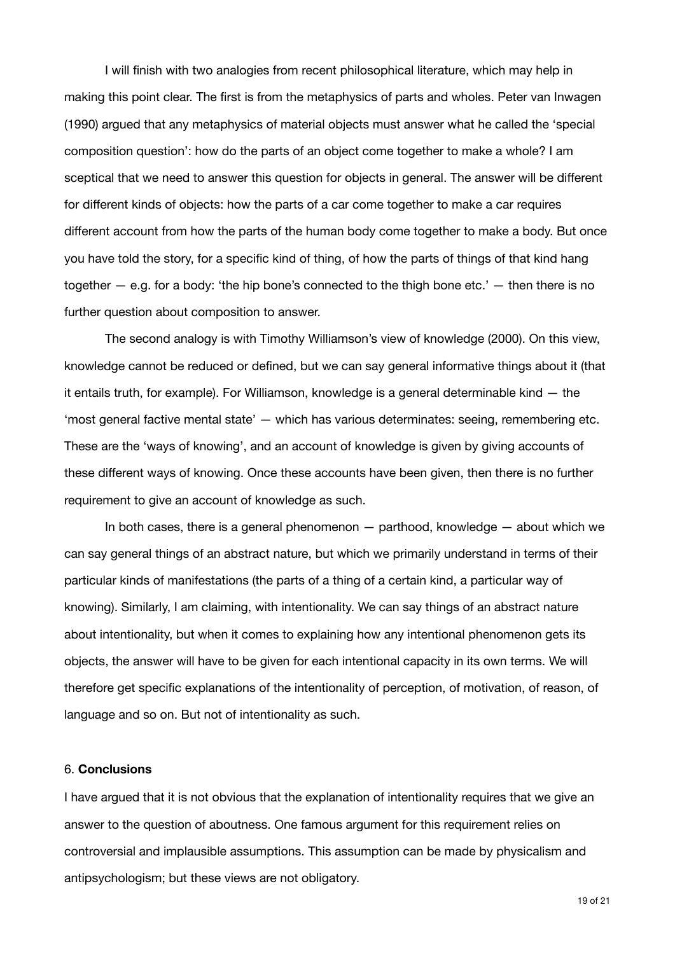I will finish with two analogies from recent philosophical literature, which may help in making this point clear. The first is from the metaphysics of parts and wholes. Peter van Inwagen (1990) argued that any metaphysics of material objects must answer what he called the 'special composition question': how do the parts of an object come together to make a whole? I am sceptical that we need to answer this question for objects in general. The answer will be different for different kinds of objects: how the parts of a car come together to make a car requires different account from how the parts of the human body come together to make a body. But once you have told the story, for a specific kind of thing, of how the parts of things of that kind hang together  $-$  e.g. for a body: 'the hip bone's connected to the thigh bone etc.'  $-$  then there is no further question about composition to answer.

The second analogy is with Timothy Williamson's view of knowledge (2000). On this view, knowledge cannot be reduced or defined, but we can say general informative things about it (that it entails truth, for example). For Williamson, knowledge is a general determinable kind — the 'most general factive mental state' — which has various determinates: seeing, remembering etc. These are the 'ways of knowing', and an account of knowledge is given by giving accounts of these different ways of knowing. Once these accounts have been given, then there is no further requirement to give an account of knowledge as such.

In both cases, there is a general phenomenon  $-$  parthood, knowledge  $-$  about which we can say general things of an abstract nature, but which we primarily understand in terms of their particular kinds of manifestations (the parts of a thing of a certain kind, a particular way of knowing). Similarly, I am claiming, with intentionality. We can say things of an abstract nature about intentionality, but when it comes to explaining how any intentional phenomenon gets its objects, the answer will have to be given for each intentional capacity in its own terms. We will therefore get specific explanations of the intentionality of perception, of motivation, of reason, of language and so on. But not of intentionality as such.

### 6. **Conclusions**

I have argued that it is not obvious that the explanation of intentionality requires that we give an answer to the question of aboutness. One famous argument for this requirement relies on controversial and implausible assumptions. This assumption can be made by physicalism and antipsychologism; but these views are not obligatory.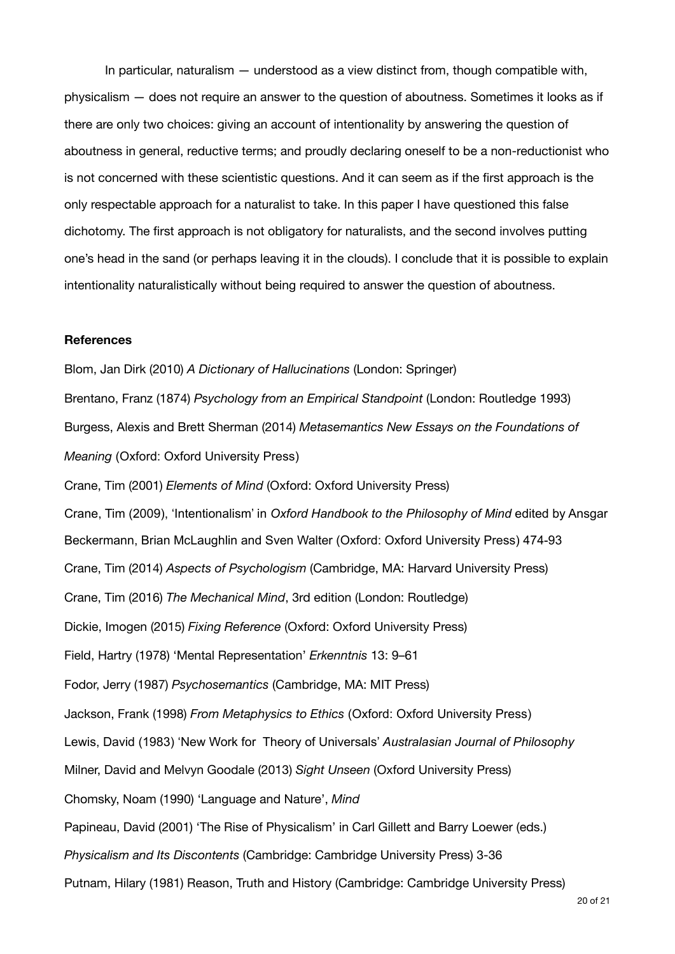In particular, naturalism — understood as a view distinct from, though compatible with, physicalism — does not require an answer to the question of aboutness. Sometimes it looks as if there are only two choices: giving an account of intentionality by answering the question of aboutness in general, reductive terms; and proudly declaring oneself to be a non-reductionist who is not concerned with these scientistic questions. And it can seem as if the first approach is the only respectable approach for a naturalist to take. In this paper I have questioned this false dichotomy. The first approach is not obligatory for naturalists, and the second involves putting one's head in the sand (or perhaps leaving it in the clouds). I conclude that it is possible to explain intentionality naturalistically without being required to answer the question of aboutness.

### **References**

Blom, Jan Dirk (2010) *A Dictionary of Hallucinations* (London: Springer) Brentano, Franz (1874) *Psychology from an Empirical Standpoint* (London: Routledge 1993) Burgess, Alexis and Brett Sherman (2014) *Metasemantics New Essays on the Foundations of Meaning* (Oxford: Oxford University Press) Crane, Tim (2001) *Elements of Mind* (Oxford: Oxford University Press) Crane, Tim (2009), 'Intentionalism' in *Oxford Handbook to the Philosophy of Mind* edited by Ansgar Beckermann, Brian McLaughlin and Sven Walter (Oxford: Oxford University Press) 474-93 Crane, Tim (2014) *Aspects of Psychologism* (Cambridge, MA: Harvard University Press) Crane, Tim (2016) *The Mechanical Mind*, 3rd edition (London: Routledge) Dickie, Imogen (2015) *Fixing Reference* (Oxford: Oxford University Press) Field, Hartry (1978) 'Mental Representation' *Erkenntnis* 13: 9–61 Fodor, Jerry (1987) *Psychosemantics* (Cambridge, MA: MIT Press) Jackson, Frank (1998) *From Metaphysics to Ethics* (Oxford: Oxford University Press) Lewis, David (1983) 'New Work for Theory of Universals' *Australasian Journal of Philosophy* Milner, David and Melvyn Goodale (2013) *Sight Unseen* (Oxford University Press) Chomsky, Noam (1990) 'Language and Nature', *Mind*  Papineau, David (2001) 'The Rise of Physicalism' in Carl Gillett and Barry Loewer (eds.) *Physicalism and Its Discontents* (Cambridge: Cambridge University Press) 3-36 Putnam, Hilary (1981) Reason, Truth and History (Cambridge: Cambridge University Press)